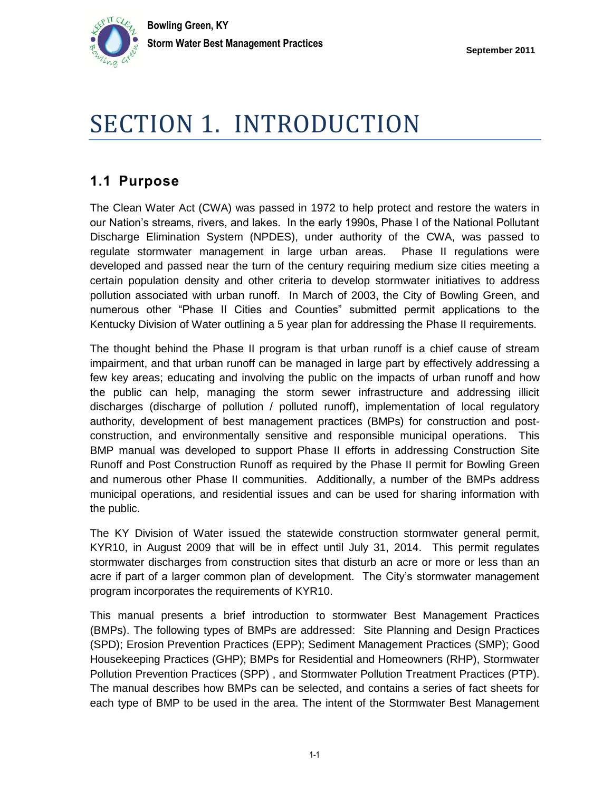

## SECTION 1. INTRODUCTION

## **1.1 Purpose**

The Clean Water Act (CWA) was passed in 1972 to help protect and restore the waters in our Nation's streams, rivers, and lakes. In the early 1990s, Phase I of the National Pollutant Discharge Elimination System (NPDES), under authority of the CWA, was passed to regulate stormwater management in large urban areas. Phase II regulations were developed and passed near the turn of the century requiring medium size cities meeting a certain population density and other criteria to develop stormwater initiatives to address pollution associated with urban runoff. In March of 2003, the City of Bowling Green, and numerous other "Phase II Cities and Counties" submitted permit applications to the Kentucky Division of Water outlining a 5 year plan for addressing the Phase II requirements.

The thought behind the Phase II program is that urban runoff is a chief cause of stream impairment, and that urban runoff can be managed in large part by effectively addressing a few key areas; educating and involving the public on the impacts of urban runoff and how the public can help, managing the storm sewer infrastructure and addressing illicit discharges (discharge of pollution / polluted runoff), implementation of local regulatory authority, development of best management practices (BMPs) for construction and postconstruction, and environmentally sensitive and responsible municipal operations. This BMP manual was developed to support Phase II efforts in addressing Construction Site Runoff and Post Construction Runoff as required by the Phase II permit for Bowling Green and numerous other Phase II communities. Additionally, a number of the BMPs address municipal operations, and residential issues and can be used for sharing information with the public.

The KY Division of Water issued the statewide construction stormwater general permit, KYR10, in August 2009 that will be in effect until July 31, 2014. This permit regulates stormwater discharges from construction sites that disturb an acre or more or less than an acre if part of a larger common plan of development. The City's stormwater management program incorporates the requirements of KYR10.

This manual presents a brief introduction to stormwater Best Management Practices (BMPs). The following types of BMPs are addressed: Site Planning and Design Practices (SPD); Erosion Prevention Practices (EPP); Sediment Management Practices (SMP); Good Housekeeping Practices (GHP); BMPs for Residential and Homeowners (RHP), Stormwater Pollution Prevention Practices (SPP) , and Stormwater Pollution Treatment Practices (PTP). The manual describes how BMPs can be selected, and contains a series of fact sheets for each type of BMP to be used in the area. The intent of the Stormwater Best Management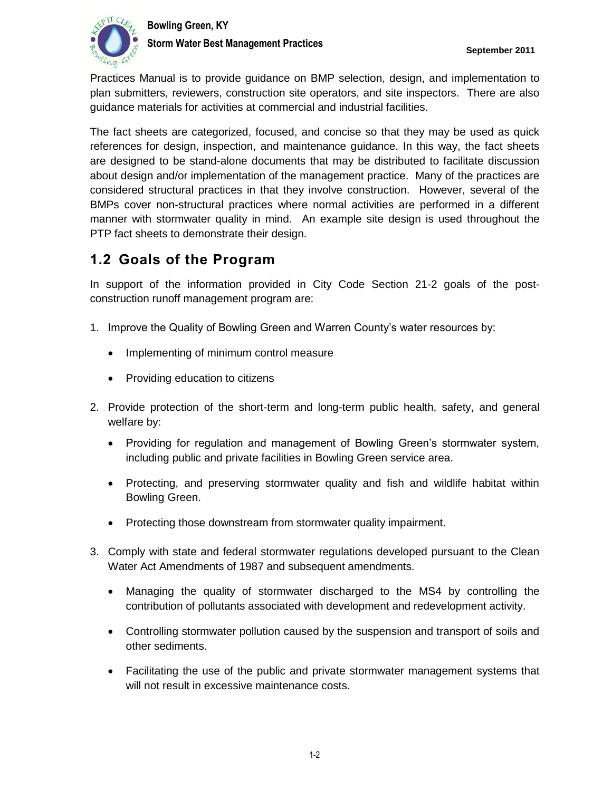

Practices Manual is to provide guidance on BMP selection, design, and implementation to plan submitters, reviewers, construction site operators, and site inspectors. There are also guidance materials for activities at commercial and industrial facilities.

The fact sheets are categorized, focused, and concise so that they may be used as quick references for design, inspection, and maintenance guidance. In this way, the fact sheets are designed to be stand-alone documents that may be distributed to facilitate discussion about design and/or implementation of the management practice. Many of the practices are considered structural practices in that they involve construction. However, several of the BMPs cover non-structural practices where normal activities are performed in a different manner with stormwater quality in mind. An example site design is used throughout the PTP fact sheets to demonstrate their design.

## **1.2 Goals of the Program**

In support of the information provided in City Code Section 21-2 goals of the postconstruction runoff management program are:

- 1. Improve the Quality of Bowling Green and Warren County's water resources by:
	- Implementing of minimum control measure
	- Providing education to citizens
- 2. Provide protection of the short-term and long-term public health, safety, and general welfare by:
	- Providing for regulation and management of Bowling Green's stormwater system, including public and private facilities in Bowling Green service area.
	- Protecting, and preserving stormwater quality and fish and wildlife habitat within Bowling Green.
	- Protecting those downstream from stormwater quality impairment.
- 3. Comply with state and federal stormwater regulations developed pursuant to the Clean Water Act Amendments of 1987 and subsequent amendments.
	- Managing the quality of stormwater discharged to the MS4 by controlling the contribution of pollutants associated with development and redevelopment activity.
	- Controlling stormwater pollution caused by the suspension and transport of soils and other sediments.
	- Facilitating the use of the public and private stormwater management systems that will not result in excessive maintenance costs.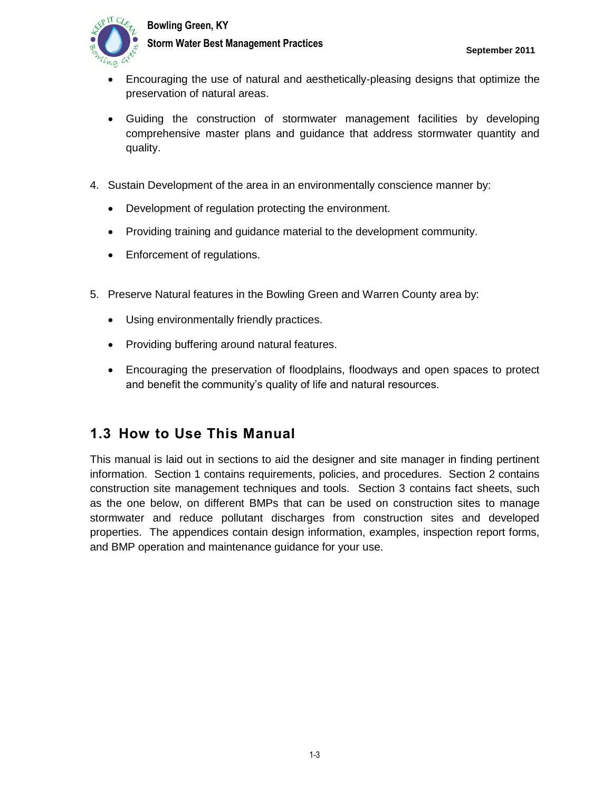



- Encouraging the use of natural and aesthetically-pleasing designs that optimize the preservation of natural areas.
- Guiding the construction of stormwater management facilities by developing comprehensive master plans and guidance that address stormwater quantity and quality.
- 4. Sustain Development of the area in an environmentally conscience manner by:
	- Development of regulation protecting the environment.
	- Providing training and guidance material to the development community.
	- Enforcement of regulations.
- 5. Preserve Natural features in the Bowling Green and Warren County area by:
	- Using environmentally friendly practices.
	- Providing buffering around natural features.
	- Encouraging the preservation of floodplains, floodways and open spaces to protect and benefit the community's quality of life and natural resources.

## **1.3 How to Use This Manual**

This manual is laid out in sections to aid the designer and site manager in finding pertinent information. Section 1 contains requirements, policies, and procedures. Section 2 contains construction site management techniques and tools. Section 3 contains fact sheets, such as the one below, on different BMPs that can be used on construction sites to manage stormwater and reduce pollutant discharges from construction sites and developed properties. The appendices contain design information, examples, inspection report forms, and BMP operation and maintenance guidance for your use.